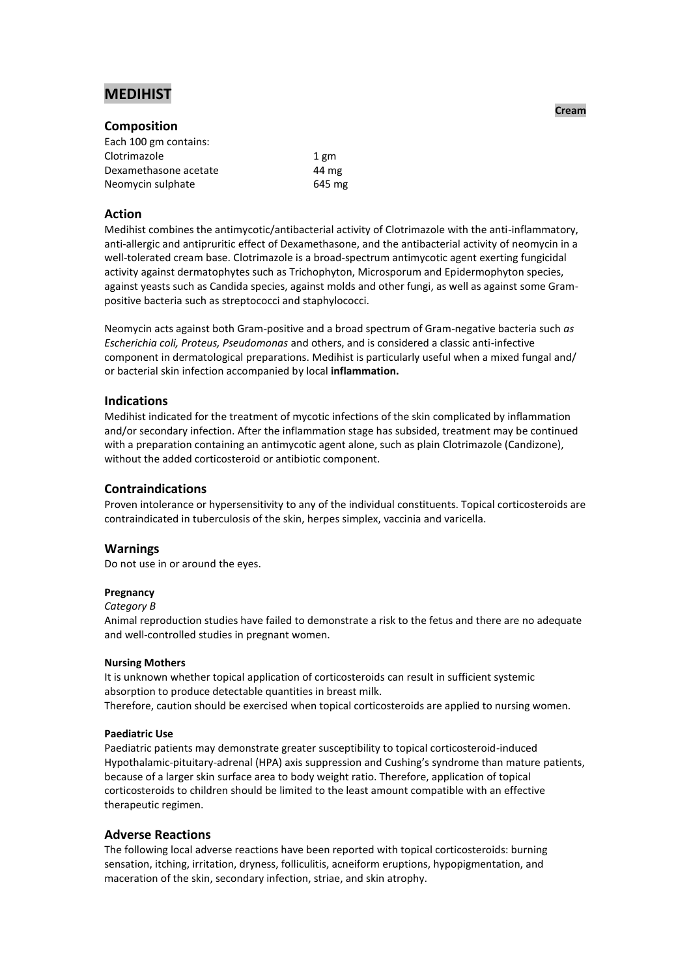# **MEDIHIST**

### **Composition**

| 1 gm   |
|--------|
| 44 mg  |
| 645 mg |
|        |

# **Action**

Medihist combines the antimycotic/antibacterial activity of Clotrimazole with the anti-inflammatory, anti-allergic and antipruritic effect of Dexamethasone, and the antibacterial activity of neomycin in a well-tolerated cream base. Clotrimazole is a broad-spectrum antimycotic agent exerting fungicidal activity against dermatophytes such as Trichophyton, Microsporum and Epidermophyton species, against yeasts such as Candida species, against molds and other fungi, as well as against some Grampositive bacteria such as streptococci and staphylococci.

Neomycin acts against both Gram-positive and a broad spectrum of Gram-negative bacteria such *as Escherichia coli, Proteus, Pseudomonas* and others, and is considered a classic anti-infective component in dermatological preparations. Medihist is particularly useful when a mixed fungal and/ or bacterial skin infection accompanied by local **inflammation.**

### **Indications**

Medihist indicated for the treatment of mycotic infections of the skin complicated by inflammation and/or secondary infection. After the inflammation stage has subsided, treatment may be continued with a preparation containing an antimycotic agent alone, such as plain Clotrimazole (Candizone), without the added corticosteroid or antibiotic component.

### **Contraindications**

Proven intolerance or hypersensitivity to any of the individual constituents. Topical corticosteroids are contraindicated in tuberculosis of the skin, herpes simplex, vaccinia and varicella.

# **Warnings**

Do not use in or around the eyes.

### **Pregnancy**

#### *Category B*

Animal reproduction studies have failed to demonstrate a risk to the fetus and there are no adequate and well-controlled studies in pregnant women.

#### **Nursing Mothers**

It is unknown whether topical application of corticosteroids can result in sufficient systemic absorption to produce detectable quantities in breast milk. Therefore, caution should be exercised when topical corticosteroids are applied to nursing women.

### **Paediatric Use**

Paediatric patients may demonstrate greater susceptibility to topical corticosteroid-induced Hypothalamic-pituitary-adrenal (HPA) axis suppression and Cushing's syndrome than mature patients, because of a larger skin surface area to body weight ratio. Therefore, application of topical corticosteroids to children should be limited to the least amount compatible with an effective therapeutic regimen.

### **Adverse Reactions**

The following local adverse reactions have been reported with topical corticosteroids: burning sensation, itching, irritation, dryness, folliculitis, acneiform eruptions, hypopigmentation, and maceration of the skin, secondary infection, striae, and skin atrophy.

**Cream**